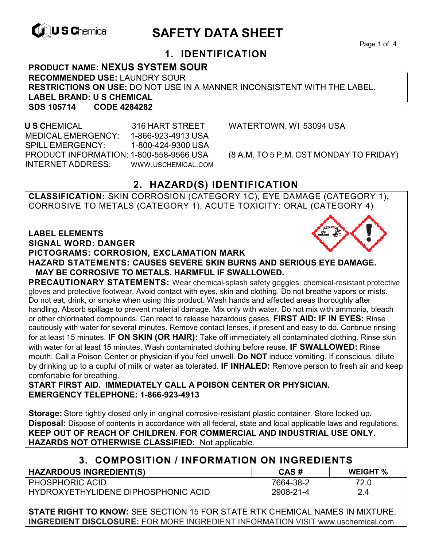

# **EXAGREM** SAFETY DATA SHEET

Page 1 of 4

## **1. IDENTIFICATION**

**PRODUCT NAME: NEXUS SYSTEM SOUR RECOMMENDED USE:** LAUNDRY SOUR **RESTRICTIONS ON USE:** DO NOT USE IN A MANNER INCONSISTENT WITH THE LABEL. **LABEL BRAND: U S CHEMICAL SDS 105714 CODE 4284282** 

 **U S C**HEMICAL 316 HART STREET WATERTOWN, WI 53094 USA MEDICAL EMERGENCY: 1-866-923-4913 USA SPILL EMERGENCY: 1-800-424-9300 USA PRODUCT INFORMATION: 1-800-558-9566 USA (8 A.M. TO 5 P.M. CST MONDAY TO FRIDAY) INTERNET ADDRESS: WWW.USCHEMICAL.COM

# **2. HAZARD(S) IDENTIFICATION**

**CLASSIFICATION:** SKIN CORROSION (CATEGORY 1C), EYE DAMAGE (CATEGORY 1), CORROSIVE TO METALS (CATEGORY 1), ACUTE TOXICITY: ORAL (CATEGORY 4)

**LABEL ELEMENTS** 

**SIGNAL WORD: DANGER**

#### **PICTOGRAMS: CORROSION, EXCLAMATION MARK**



**PRECAUTIONARY STATEMENTS:** Wear chemical-splash safety goggles, chemical-resistant protective gloves and protective footwear. Avoid contact with eyes, skin and clothing. Do not breathe vapors or mists. Do not eat, drink, or smoke when using this product. Wash hands and affected areas thoroughly after handling. Absorb spillage to prevent material damage. Mix only with water. Do not mix with ammonia, bleach or other chlorinated compounds. Can react to release hazardous gases. **FIRST AID: IF IN EYES:** Rinse cautiously with water for several minutes. Remove contact lenses, if present and easy to do. Continue rinsing for at least 15 minutes. **IF ON SKIN (OR HAIR):** Take off immediately all contaminated clothing. Rinse skin with water for at least 15 minutes. Wash contaminated clothing before reuse. **IF SWALLOWED:** Rinse mouth. Call a Poison Center or physician if you feel unwell. **Do NOT** induce vomiting. If conscious, dilute by drinking up to a cupful of milk or water as tolerated. **IF INHALED:** Remove person to fresh air and keep comfortable for breathing.

**START FIRST AID. IMMEDIATELY CALL A POISON CENTER OR PHYSICIAN. EMERGENCY TELEPHONE: 1-866-923-4913** 

**Storage:** Store tightly closed only in original corrosive-resistant plastic container. Store locked up. **Disposal:** Dispose of contents in accordance with all federal, state and local applicable laws and regulations. **KEEP OUT OF REACH OF CHILDREN. FOR COMMERCIAL AND INDUSTRIAL USE ONLY. HAZARDS NOT OTHERWISE CLASSIFIED:** Not applicable.

### **3. COMPOSITION / INFORMATION ON INGREDIENTS**

| <b>HAZARDOUS INGREDIENT(S)</b>      | CAS#      | <b>WEIGHT %</b> |
|-------------------------------------|-----------|-----------------|
| <b>PHOSPHORIC ACID</b>              | 7664-38-2 | 72.0            |
| HYDROXYETHYLIDENE DIPHOSPHONIC ACID | 2908-21-4 | 2.4             |

**STATE RIGHT TO KNOW:** SEE SECTION 15 FOR STATE RTK CHEMICAL NAMES IN MIXTURE. **INGREDIENT DISCLOSURE:** FOR MORE INGREDIENT INFORMATION VISIT www.uschemical.com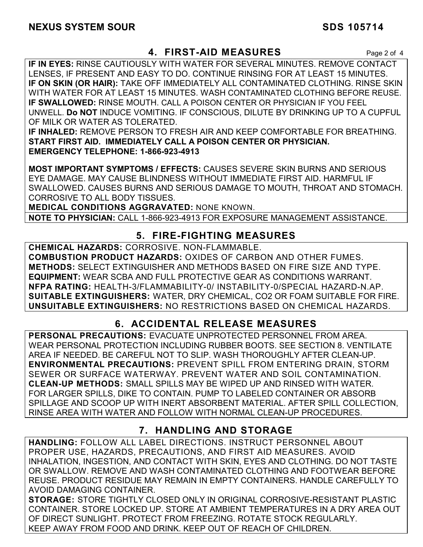### **4. FIRST-AID MEASURES** Page 2 of 4

**IF IN EYES:** RINSE CAUTIOUSLY WITH WATER FOR SEVERAL MINUTES. REMOVE CONTACT LENSES, IF PRESENT AND EASY TO DO. CONTINUE RINSING FOR AT LEAST 15 MINUTES. **IF ON SKIN (OR HAIR):** TAKE OFF IMMEDIATELY ALL CONTAMINATED CLOTHING. RINSE SKIN WITH WATER FOR AT LEAST 15 MINUTES. WASH CONTAMINATED CLOTHING BEFORE REUSE. **IF SWALLOWED:** RINSE MOUTH. CALL A POISON CENTER OR PHYSICIAN IF YOU FEEL UNWELL. **Do NOT** INDUCE VOMITING. IF CONSCIOUS, DILUTE BY DRINKING UP TO A CUPFUL OF MILK OR WATER AS TOLERATED.

**IF INHALED:** REMOVE PERSON TO FRESH AIR AND KEEP COMFORTABLE FOR BREATHING. **START FIRST AID. IMMEDIATELY CALL A POISON CENTER OR PHYSICIAN. EMERGENCY TELEPHONE: 1-866-923-4913**

**MOST IMPORTANT SYMPTOMS / EFFECTS:** CAUSES SEVERE SKIN BURNS AND SERIOUS EYE DAMAGE. MAY CAUSE BLINDNESS WITHOUT IMMEDIATE FIRST AID. HARMFUL IF SWALLOWED. CAUSES BURNS AND SERIOUS DAMAGE TO MOUTH, THROAT AND STOMACH. CORROSIVE TO ALL BODY TISSUES.

**MEDICAL CONDITIONS AGGRAVATED:** NONE KNOWN.

**NOTE TO PHYSICIAN:** CALL 1-866-923-4913 FOR EXPOSURE MANAGEMENT ASSISTANCE.

### **5. FIRE-FIGHTING MEASURES**

**CHEMICAL HAZARDS:** CORROSIVE. NON-FLAMMABLE. **COMBUSTION PRODUCT HAZARDS:** OXIDES OF CARBON AND OTHER FUMES. **METHODS:** SELECT EXTINGUISHER AND METHODS BASED ON FIRE SIZE AND TYPE. **EQUIPMENT:** WEAR SCBA AND FULL PROTECTIVE GEAR AS CONDITIONS WARRANT. **NFPA RATING:** HEALTH-3/FLAMMABILITY-0/ INSTABILITY-0/SPECIAL HAZARD-N.AP. **SUITABLE EXTINGUISHERS:** WATER, DRY CHEMICAL, CO2 OR FOAM SUITABLE FOR FIRE. **UNSUITABLE EXTINGUISHERS:** NO RESTRICTIONS BASED ON CHEMICAL HAZARDS.

# **6. ACCIDENTAL RELEASE MEASURES**

**PERSONAL PRECAUTIONS:** EVACUATE UNPROTECTED PERSONNEL FROM AREA. WEAR PERSONAL PROTECTION INCLUDING RUBBER BOOTS. SEE SECTION 8. VENTILATE AREA IF NEEDED. BE CAREFUL NOT TO SLIP. WASH THOROUGHLY AFTER CLEAN-UP. **ENVIRONMENTAL PRECAUTIONS:** PREVENT SPILL FROM ENTERING DRAIN, STORM SEWER OR SURFACE WATERWAY. PREVENT WATER AND SOIL CONTAMINATION. **CLEAN-UP METHODS:** SMALL SPILLS MAY BE WIPED UP AND RINSED WITH WATER. FOR LARGER SPILLS, DIKE TO CONTAIN. PUMP TO LABELED CONTAINER OR ABSORB SPILLAGE AND SCOOP UP WITH INERT ABSORBENT MATERIAL. AFTER SPILL COLLECTION, RINSE AREA WITH WATER AND FOLLOW WITH NORMAL CLEAN-UP PROCEDURES.

### **7. HANDLING AND STORAGE**

**HANDLING:** FOLLOW ALL LABEL DIRECTIONS. INSTRUCT PERSONNEL ABOUT PROPER USE, HAZARDS, PRECAUTIONS, AND FIRST AID MEASURES. AVOID INHALATION, INGESTION, AND CONTACT WITH SKIN, EYES AND CLOTHING. DO NOT TASTE OR SWALLOW. REMOVE AND WASH CONTAMINATED CLOTHING AND FOOTWEAR BEFORE REUSE. PRODUCT RESIDUE MAY REMAIN IN EMPTY CONTAINERS. HANDLE CAREFULLY TO AVOID DAMAGING CONTAINER.

**STORAGE:** STORE TIGHTLY CLOSED ONLY IN ORIGINAL CORROSIVE-RESISTANT PLASTIC CONTAINER. STORE LOCKED UP. STORE AT AMBIENT TEMPERATURES IN A DRY AREA OUT OF DIRECT SUNLIGHT. PROTECT FROM FREEZING. ROTATE STOCK REGULARLY. KEEP AWAY FROM FOOD AND DRINK. KEEP OUT OF REACH OF CHILDREN.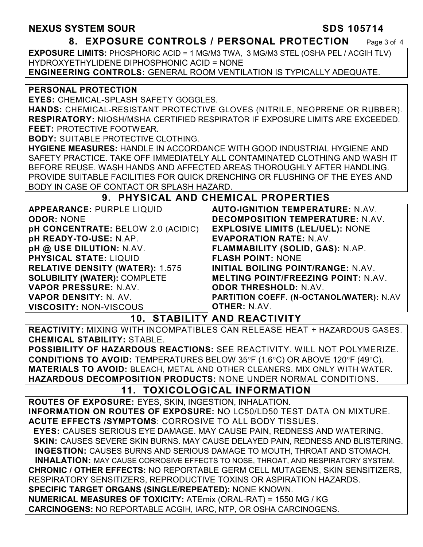#### **8. EXPOSURE CONTROLS / PERSONAL PROTECTION** Page 3 of 4

**EXPOSURE LIMITS:** PHOSPHORIC ACID = 1 MG/M3 TWA, 3 MG/M3 STEL (OSHA PEL / ACGIH TLV) HYDROXYETHYLIDENE DIPHOSPHONIC ACID = NONE **ENGINEERING CONTROLS:** GENERAL ROOM VENTILATION IS TYPICALLY ADEQUATE.

#### **PERSONAL PROTECTION**

**EYES:** CHEMICAL-SPLASH SAFETY GOGGLES.

**HANDS:** CHEMICAL-RESISTANT PROTECTIVE GLOVES (NITRILE, NEOPRENE OR RUBBER). **RESPIRATORY:** NIOSH/MSHA CERTIFIED RESPIRATOR IF EXPOSURE LIMITS ARE EXCEEDED. **FEET:** PROTECTIVE FOOTWEAR.

**BODY:** SUITABLE PROTECTIVE CLOTHING.

**HYGIENE MEASURES:** HANDLE IN ACCORDANCE WITH GOOD INDUSTRIAL HYGIENE AND SAFETY PRACTICE. TAKE OFF IMMEDIATELY ALL CONTAMINATED CLOTHING AND WASH IT BEFORE REUSE. WASH HANDS AND AFFECTED AREAS THOROUGHLY AFTER HANDLING. PROVIDE SUITABLE FACILITIES FOR QUICK DRENCHING OR FLUSHING OF THE EYES AND BODY IN CASE OF CONTACT OR SPLASH HAZARD.

### **9. PHYSICAL AND CHEMICAL PROPERTIES**

| <b>APPEARANCE: PURPLE LIQUID</b>       | <b>AUTO-IGNITION TEMPERATURE: N.AV.</b>    |
|----------------------------------------|--------------------------------------------|
| <b>ODOR: NONE</b>                      | <b>DECOMPOSITION TEMPERATURE: N.AV.</b>    |
| pH CONCENTRATE: BELOW 2.0 (ACIDIC)     | <b>EXPLOSIVE LIMITS (LEL/UEL): NONE</b>    |
| pH READY-TO-USE: N.AP.                 | <b>EVAPORATION RATE: N.AV.</b>             |
| pH @ USE DILUTION: N.AV.               | FLAMMABILITY (SOLID, GAS): N.AP.           |
| <b>PHYSICAL STATE: LIQUID</b>          | <b>FLASH POINT: NONE</b>                   |
| <b>RELATIVE DENSITY (WATER): 1.575</b> | <b>INITIAL BOILING POINT/RANGE: N.AV.</b>  |
| <b>SOLUBILITY (WATER): COMPLETE</b>    | <b>MELTING POINT/FREEZING POINT: N.AV.</b> |
| VAPOR PRESSURE: N.AV.                  | <b>ODOR THRESHOLD: N.AV.</b>               |
| <b>VAPOR DENSITY: N. AV.</b>           | PARTITION COEFF. (N-OCTANOL/WATER): N.AV   |
| <b>VISCOSITY: NON-VISCOUS</b>          | <b>OTHER: N.AV.</b>                        |

**10. STABILITY AND REACTIVITY** 

**REACTIVITY:** MIXING WITH INCOMPATIBLES CAN RELEASE HEAT + HAZARDOUS GASES. **CHEMICAL STABILITY:** STABLE.

**POSSIBILITY OF HAZARDOUS REACTIONS:** SEE REACTIVITY. WILL NOT POLYMERIZE. **CONDITIONS TO AVOID:** TEMPERATURES BELOW 35°F (1.6°C) OR ABOVE 120°F (49°C). **MATERIALS TO AVOID:** BLEACH, METAL AND OTHER CLEANERS. MIX ONLY WITH WATER. **HAZARDOUS DECOMPOSITION PRODUCTS:** NONE UNDER NORMAL CONDITIONS.

# **11. TOXICOLOGICAL INFORMATION**

**ROUTES OF EXPOSURE:** EYES, SKIN, INGESTION, INHALATION. **INFORMATION ON ROUTES OF EXPOSURE:** NO LC50/LD50 TEST DATA ON MIXTURE. **ACUTE EFFECTS /SYMPTOMS**: CORROSIVE TO ALL BODY TISSUES.  **EYES:** CAUSES SERIOUS EYE DAMAGE. MAY CAUSE PAIN, REDNESS AND WATERING.  **SKIN:** CAUSES SEVERE SKIN BURNS. MAY CAUSE DELAYED PAIN, REDNESS AND BLISTERING. **INGESTION:** CAUSES BURNS AND SERIOUS DAMAGE TO MOUTH, THROAT AND STOMACH. **INHALATION:** MAY CAUSE CORROSIVE EFFECTS TO NOSE, THROAT, AND RESPIRATORY SYSTEM. **CHRONIC / OTHER EFFECTS:** NO REPORTABLE GERM CELL MUTAGENS, SKIN SENSITIZERS, RESPIRATORY SENSITIZERS, REPRODUCTIVE TOXINS OR ASPIRATION HAZARDS. **SPECIFIC TARGET ORGANS (SINGLE/REPEATED):** NONE KNOWN. **NUMERICAL MEASURES OF TOXICITY:** ATEmix (ORAL-RAT) = 1550 MG / KG **CARCINOGENS:** NO REPORTABLE ACGIH, IARC, NTP, OR OSHA CARCINOGENS.